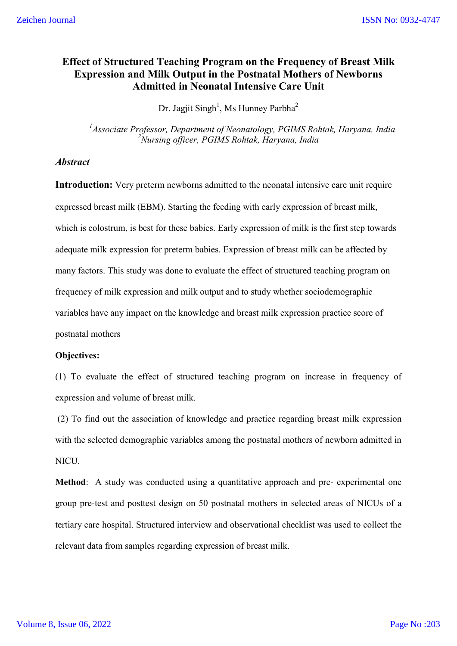### **Effect of Structured Teaching Program on the Frequency of Breast Milk Expression and Milk Output in the Postnatal Mothers of Newborns Admitted in Neonatal Intensive Care Unit**

Dr. Jagjit Singh<sup>1</sup>, Ms Hunney Parbha<sup>2</sup>

*1 Associate Professor, Department of Neonatology, PGIMS Rohtak, Haryana, India 2 Nursing officer, PGIMS Rohtak, Haryana, India*

### *Abstract*

**Introduction:** Very preterm newborns admitted to the neonatal intensive care unit require expressed breast milk (EBM). Starting the feeding with early expression of breast milk, which is colostrum, is best for these babies. Early expression of milk is the first step towards adequate milk expression for preterm babies. Expression of breast milk can be affected by many factors. This study was done to evaluate the effect of structured teaching program on frequency of milk expression and milk output and to study whether sociodemographic variables have any impact on the knowledge and breast milk expression practice score of postnatal mothers

### **Objectives:**

(1) To evaluate the effect of structured teaching program on increase in frequency of expression and volume of breast milk.

(2) To find out the association of knowledge and practice regarding breast milk expression with the selected demographic variables among the postnatal mothers of newborn admitted in NICU.

**Method**: A study was conducted using a quantitative approach and pre- experimental one group pre-test and posttest design on 50 postnatal mothers in selected areas of NICUs of a tertiary care hospital. Structured interview and observational checklist was used to collect the relevant data from samples regarding expression of breast milk.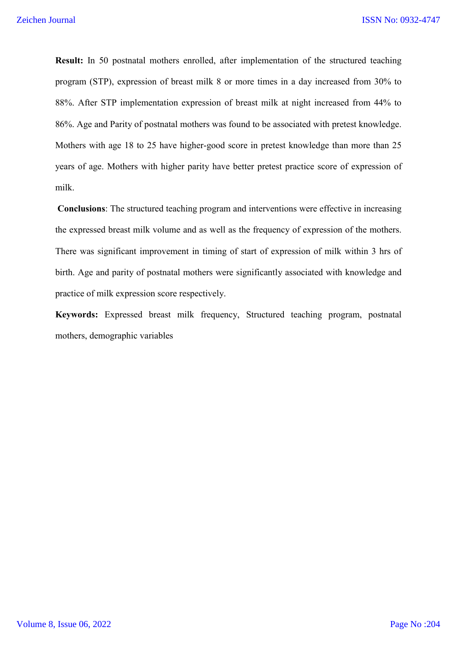**Result:** In 50 postnatal mothers enrolled, after implementation of the structured teaching program (STP), expression of breast milk 8 or more times in a day increased from 30% to 88%. After STP implementation expression of breast milk at night increased from 44% to 86%. Age and Parity of postnatal mothers was found to be associated with pretest knowledge. Mothers with age 18 to 25 have higher-good score in pretest knowledge than more than 25 years of age. Mothers with higher parity have better pretest practice score of expression of milk.

**Conclusions**: The structured teaching program and interventions were effective in increasing the expressed breast milk volume and as well as the frequency of expression of the mothers. There was significant improvement in timing of start of expression of milk within 3 hrs of birth. Age and parity of postnatal mothers were significantly associated with knowledge and practice of milk expression score respectively.

**Keywords:** Expressed breast milk frequency, Structured teaching program, postnatal mothers, demographic variables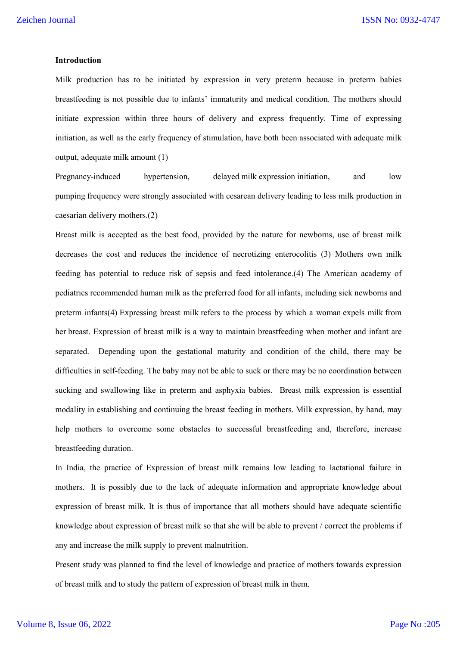#### **Introduction**

Milk production has to be initiated by expression in very preterm because in preterm babies breastfeeding is not possible due to infants' immaturity and medical condition. The mothers should initiate expression within three hours of delivery and express frequently. Time of expressing initiation, as well as the early frequency of stimulation, have both been associated with adequate milk output, adequate milk amount (1)

Pregnancy-induced hypertension, delayed milk expression initiation, and low pumping frequency were strongly associated with cesarean delivery leading to less milk production in caesarian delivery mothers.(2)

Breast milk is accepted as the best food, provided by the nature for newborns, use of breast milk decreases the cost and reduces the incidence of necrotizing enterocolitis (3) Mothers own milk feeding has potential to reduce risk of sepsis and feed intolerance.(4) The American academy of pediatrics recommended human milk as the preferred food for all infants, including sick newborns and preterm infants(4) Expressing breast milk refers to the process by which a woman expels milk from her breast. Expression of breast milk is a way to maintain breastfeeding when mother and infant are separated. Depending upon the gestational maturity and condition of the child, there may be difficulties in self-feeding. The baby may not be able to suck or there may be no coordination between sucking and swallowing like in preterm and asphyxia babies. Breast milk expression is essential modality in establishing and continuing the breast feeding in mothers. Milk expression, by hand, may help mothers to overcome some obstacles to successful breastfeeding and, therefore, increase breastfeeding duration.

In India, the practice of Expression of breast milk remains low leading to lactational failure in mothers. It is possibly due to the lack of adequate information and appropriate knowledge about expression of breast milk. It is thus of importance that all mothers should have adequate scientific knowledge about expression of breast milk so that she will be able to prevent / correct the problems if any and increase the milk supply to prevent malnutrition.

Present study was planned to find the level of knowledge and practice of mothers towards expression of breast milk and to study the pattern of expression of breast milk in them.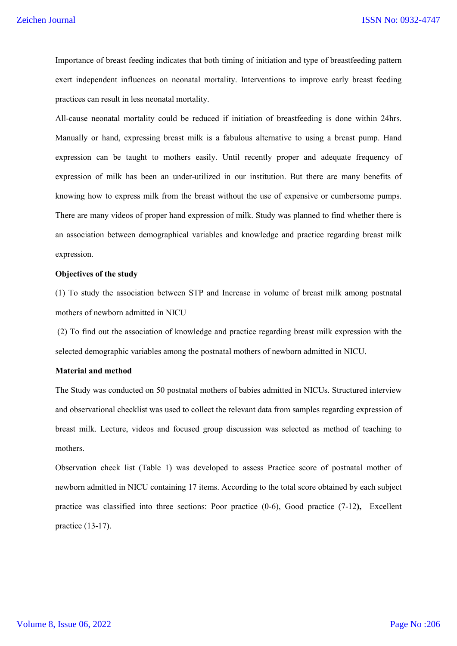Importance of breast feeding indicates that both timing of initiation and type of breastfeeding pattern exert independent influences on neonatal mortality. Interventions to improve early breast feeding practices can result in less neonatal mortality.

All-cause neonatal mortality could be reduced if initiation of breastfeeding is done within 24hrs. Manually or hand, expressing breast milk is a fabulous alternative to using a breast pump. Hand expression can be taught to mothers easily. Until recently proper and adequate frequency of expression of milk has been an under-utilized in our institution. But there are many benefits of knowing how to express milk from the breast without the use of expensive or cumbersome pumps. There are many videos of proper hand expression of milk. Study was planned to find whether there is an association between demographical variables and knowledge and practice regarding breast milk expression.

### **Objectives of the study**

(1) To study the association between STP and Increase in volume of breast milk among postnatal mothers of newborn admitted in NICU

(2) To find out the association of knowledge and practice regarding breast milk expression with the selected demographic variables among the postnatal mothers of newborn admitted in NICU.

### **Material and method**

The Study was conducted on 50 postnatal mothers of babies admitted in NICUs. Structured interview and observational checklist was used to collect the relevant data from samples regarding expression of breast milk. Lecture, videos and focused group discussion was selected as method of teaching to mothers.

Observation check list (Table 1) was developed to assess Practice score of postnatal mother of newborn admitted in NICU containing 17 items. According to the total score obtained by each subject practice was classified into three sections: Poor practice (0-6), Good practice (7-12**),** Excellent practice (13-17).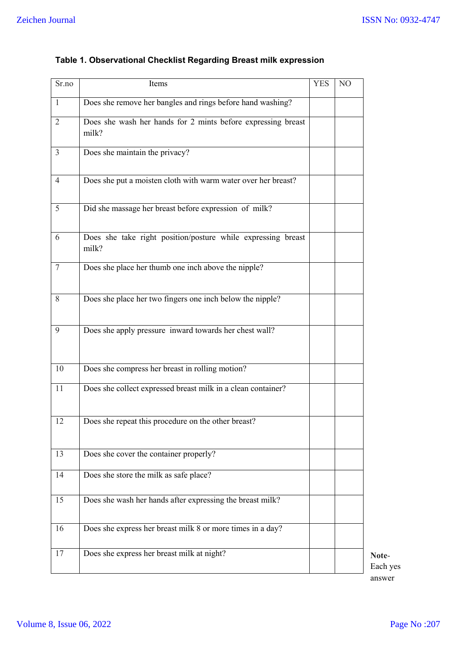| Sr.no          | Items                                                                 | <b>YES</b> | N <sub>O</sub> |
|----------------|-----------------------------------------------------------------------|------------|----------------|
| $\mathbf{1}$   | Does she remove her bangles and rings before hand washing?            |            |                |
| 2              | Does she wash her hands for 2 mints before expressing breast<br>milk? |            |                |
| $\mathfrak{Z}$ | Does she maintain the privacy?                                        |            |                |
| 4              | Does she put a moisten cloth with warm water over her breast?         |            |                |
| 5              | Did she massage her breast before expression of milk?                 |            |                |
| 6              | Does she take right position/posture while expressing breast<br>milk? |            |                |
| 7              | Does she place her thumb one inch above the nipple?                   |            |                |
| 8              | Does she place her two fingers one inch below the nipple?             |            |                |
| 9              | Does she apply pressure inward towards her chest wall?                |            |                |
| 10             | Does she compress her breast in rolling motion?                       |            |                |
| 11             | Does she collect expressed breast milk in a clean container?          |            |                |
| 12             | Does she repeat this procedure on the other breast?                   |            |                |
| 13             | Does she cover the container properly?                                |            |                |
| 14             | Does she store the milk as safe place?                                |            |                |
| 15             | Does she wash her hands after expressing the breast milk?             |            |                |
| 16             | Does she express her breast milk 8 or more times in a day?            |            |                |
| 17             | Does she express her breast milk at night?                            |            |                |

## **Table 1. Observational Checklist Regarding Breast milk expression**

**Note**-Each yes answer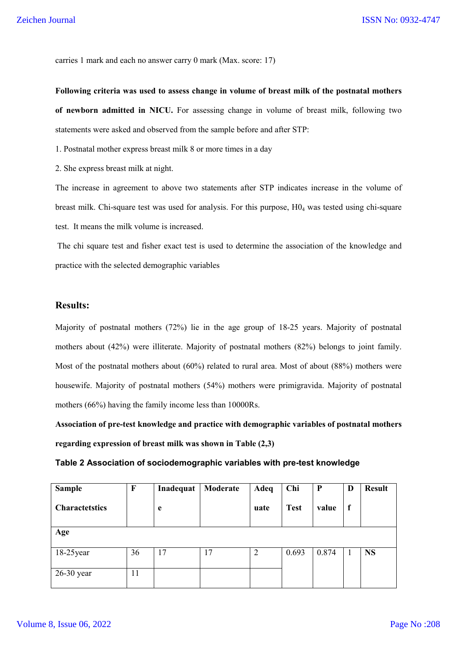carries 1 mark and each no answer carry 0 mark (Max. score: 17)

**Following criteria was used to assess change in volume of breast milk of the postnatal mothers of newborn admitted in NICU.** For assessing change in volume of breast milk, following two statements were asked and observed from the sample before and after STP:

1. Postnatal mother express breast milk 8 or more times in a day

2. She express breast milk at night.

The increase in agreement to above two statements after STP indicates increase in the volume of breast milk. Chi-square test was used for analysis. For this purpose, H04 was tested using chi-square test. It means the milk volume is increased.

The chi square test and fisher exact test is used to determine the association of the knowledge and practice with the selected demographic variables

### **Results:**

Majority of postnatal mothers (72%) lie in the age group of 18-25 years. Majority of postnatal mothers about (42%) were illiterate. Majority of postnatal mothers (82%) belongs to joint family. Most of the postnatal mothers about (60%) related to rural area. Most of about (88%) mothers were housewife. Majority of postnatal mothers (54%) mothers were primigravida. Majority of postnatal mothers (66%) having the family income less than 10000Rs.

**Association of pre-test knowledge and practice with demographic variables of postnatal mothers regarding expression of breast milk was shown in Table (2,3)**

**Table 2 Association of sociodemographic variables with pre-test knowledge**

| <b>Sample</b>         | $\mathbf F$ | Inadequat | Moderate | Adeq           | Chi         | $\mathbf{P}$ | D           | <b>Result</b> |
|-----------------------|-------------|-----------|----------|----------------|-------------|--------------|-------------|---------------|
| <b>Charactetstics</b> |             | e         |          | uate           | <b>Test</b> | value        | $\mathbf f$ |               |
| Age                   |             |           |          |                |             |              |             |               |
| $18-25$ year          | 36          | 17        | 17       | $\overline{2}$ | 0.693       | 0.874        |             | <b>NS</b>     |
| $26-30$ year          | 11          |           |          |                |             |              |             |               |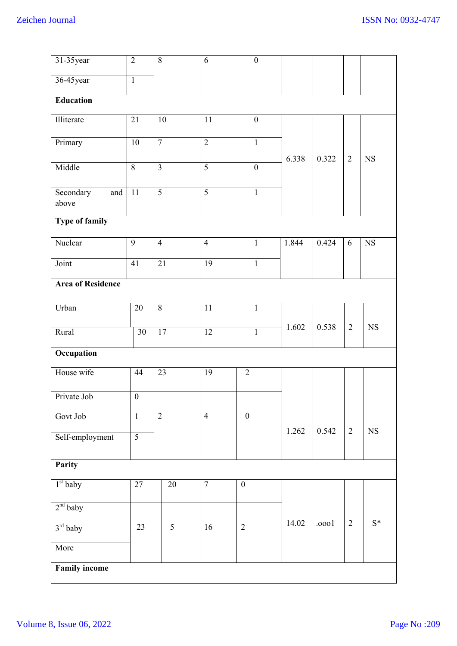| 31-35 year                | $\overline{2}$   | $\overline{8}$          | 6               |                  | $\boldsymbol{0}$ |       |       |                |             |
|---------------------------|------------------|-------------------------|-----------------|------------------|------------------|-------|-------|----------------|-------------|
| 36-45year                 | $\overline{1}$   |                         |                 |                  |                  |       |       |                |             |
| Education                 |                  |                         |                 |                  |                  |       |       |                |             |
| Illiterate                | $\overline{21}$  | $\overline{10}$         | $\overline{11}$ |                  | $\boldsymbol{0}$ |       |       |                |             |
| Primary                   | 10               | $\overline{7}$          | $\overline{2}$  |                  | $\overline{1}$   |       |       |                |             |
| Middle                    | $\overline{8}$   | $\overline{\mathbf{3}}$ | $\overline{5}$  |                  | $\boldsymbol{0}$ | 6.338 | 0.322 | $\overline{2}$ | <b>NS</b>   |
| Secondary<br>and<br>above | $\overline{11}$  | $\overline{5}$          | $\overline{5}$  |                  | $\mathbf{1}$     |       |       |                |             |
| <b>Type of family</b>     |                  |                         |                 |                  |                  |       |       |                |             |
| Nuclear                   | 9                | $\overline{4}$          | $\overline{4}$  |                  | $\mathbf{1}$     | 1.844 | 0.424 | 6              | $_{\rm NS}$ |
| Joint                     | 41               | 21                      | $\overline{19}$ |                  | $\mathbf{1}$     |       |       |                |             |
| <b>Area of Residence</b>  |                  |                         |                 |                  |                  |       |       |                |             |
| Urban                     | $\overline{20}$  | $\overline{8}$          | $\overline{11}$ |                  | $\mathbf{1}$     |       |       |                |             |
| Rural                     | $\overline{30}$  | 17                      | 12              |                  | $\overline{1}$   | 1.602 | 0.538 | $\overline{2}$ | $_{\rm NS}$ |
| Occupation                |                  |                         |                 |                  |                  |       |       |                |             |
| House wife                | 44               | 23                      | 19              | $\overline{2}$   |                  |       |       |                |             |
| Private Job               | $\boldsymbol{0}$ |                         |                 |                  |                  |       |       |                |             |
| Govt Job                  | $\mathbf{1}$     | $\overline{2}$          | $\overline{4}$  | $\boldsymbol{0}$ |                  |       |       |                |             |
| Self-employment           | $\overline{5}$   |                         |                 |                  |                  | 1.262 | 0.542 | 2              | $_{\rm NS}$ |
| Parity                    |                  |                         |                 |                  |                  |       |       |                |             |
| $1st$ baby                | 27               | $\overline{20}$         | $\overline{7}$  | $\boldsymbol{0}$ |                  |       |       |                |             |
| $2nd$ baby                |                  |                         |                 |                  |                  |       |       |                |             |
| $3rd$ baby                | 23               | 5                       | 16              | $\overline{2}$   |                  | 14.02 | .0001 | $\overline{2}$ | $S^*$       |
| More                      |                  |                         |                 |                  |                  |       |       |                |             |
| <b>Family income</b>      |                  |                         |                 |                  |                  |       |       |                |             |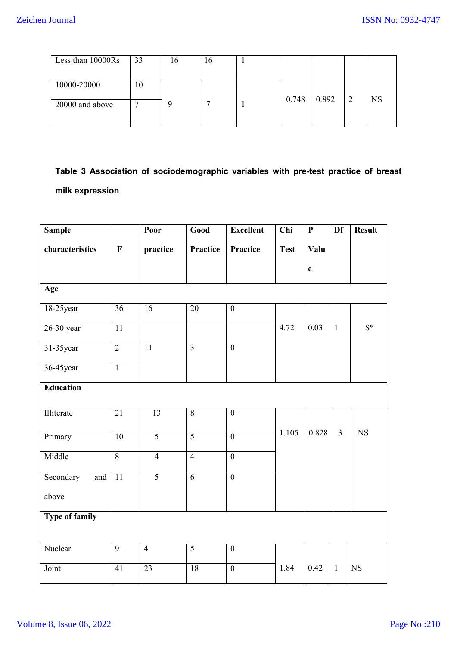| Less than 10000Rs | 33 | l 6 | 16 |       |       |    |           |
|-------------------|----|-----|----|-------|-------|----|-----------|
|                   |    |     |    |       |       |    |           |
| 10000-20000       | 10 |     |    |       |       |    |           |
|                   |    |     |    | 0.748 | 0.892 | -2 | <b>NS</b> |
| 20000 and above   | −  |     |    |       |       |    |           |
|                   |    |     |    |       |       |    |           |
|                   |    |     |    |       |       |    |           |

# **Table 3 Association of sociodemographic variables with pre-test practice of breast milk expression**

| <b>Sample</b>         |                 | Poor            | Good            | <b>Excellent</b> | Chi         | $\mathbf{P}$ | Df             | <b>Result</b> |
|-----------------------|-----------------|-----------------|-----------------|------------------|-------------|--------------|----------------|---------------|
| characteristics       | $\mathbf F$     | practice        | Practice        | Practice         | <b>Test</b> | Valu         |                |               |
|                       |                 |                 |                 |                  |             | $\mathbf e$  |                |               |
| Age                   |                 |                 |                 |                  |             |              |                |               |
| 18-25 year            | 36              | 16              | $\overline{20}$ | $\boldsymbol{0}$ |             |              |                |               |
| 26-30 year            | 11              |                 |                 |                  | 4.72        | 0.03         | $\mathbf{1}$   | $S^*$         |
| 31-35 year            | $\overline{2}$  | 11              | $\overline{3}$  | $\boldsymbol{0}$ |             |              |                |               |
| 36-45year             | $\overline{1}$  |                 |                 |                  |             |              |                |               |
| <b>Education</b>      |                 |                 |                 |                  |             |              |                |               |
|                       |                 |                 |                 |                  |             |              |                |               |
| Illiterate            | $\overline{21}$ | $\overline{13}$ | $\overline{8}$  | $\overline{0}$   |             |              |                |               |
| Primary               | $10\,$          | $\overline{5}$  | $\overline{5}$  | $\boldsymbol{0}$ | 1.105       | 0.828        | $\overline{3}$ | <b>NS</b>     |
| Middle                | $\overline{8}$  | $\overline{4}$  | $\overline{4}$  | $\mathbf{0}$     |             |              |                |               |
| Secondary<br>and      | $\overline{11}$ | $\overline{5}$  | $\overline{6}$  | $\overline{0}$   |             |              |                |               |
| above                 |                 |                 |                 |                  |             |              |                |               |
| <b>Type of family</b> |                 |                 |                 |                  |             |              |                |               |
|                       |                 |                 |                 |                  |             |              |                |               |
| Nuclear               | 9               | $\overline{4}$  | $\overline{5}$  | $\mathbf{0}$     |             |              |                |               |
| Joint                 | 41              | 23              | 18              | $\boldsymbol{0}$ | 1.84        | 0.42         | $\mathbf{1}$   | <b>NS</b>     |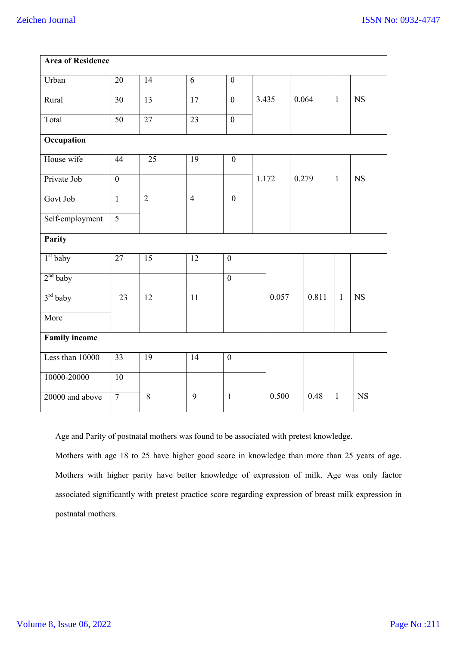| <b>Area of Residence</b> |                 |                 |                 |                  |       |       |       |       |              |           |  |
|--------------------------|-----------------|-----------------|-----------------|------------------|-------|-------|-------|-------|--------------|-----------|--|
| Urban                    | $\overline{20}$ | $\overline{14}$ | $\overline{6}$  | $\boldsymbol{0}$ |       |       |       |       |              |           |  |
| Rural                    | 30              | 13              | $\overline{17}$ | $\overline{0}$   | 3.435 |       |       | 0.064 | $\mathbf{1}$ | NS        |  |
| Total                    | $\overline{50}$ | $\overline{27}$ | $\overline{23}$ | $\overline{0}$   |       |       |       |       |              |           |  |
| Occupation               |                 |                 |                 |                  |       |       |       |       |              |           |  |
| House wife               | $\overline{44}$ | $\overline{25}$ | $\overline{19}$ | $\boldsymbol{0}$ |       |       |       |       |              |           |  |
| Private Job              | $\overline{0}$  |                 |                 |                  | 1.172 |       | 0.279 |       | $\mathbf{1}$ | <b>NS</b> |  |
| Govt Job                 | $\overline{1}$  | $\overline{2}$  | $\overline{4}$  | $\boldsymbol{0}$ |       |       |       |       |              |           |  |
| Self-employment          | $\overline{5}$  |                 |                 |                  |       |       |       |       |              |           |  |
| Parity                   |                 |                 |                 |                  |       |       |       |       |              |           |  |
| $1st$ baby               | $\overline{27}$ | $\overline{15}$ | 12              | $\overline{0}$   |       |       |       |       |              |           |  |
| $2nd$ baby               |                 |                 |                 | $\overline{0}$   |       |       |       |       |              |           |  |
| $3rd$ baby               | 23              | 12              | 11              |                  |       | 0.057 |       | 0.811 | $\mathbf{1}$ | <b>NS</b> |  |
| More                     |                 |                 |                 |                  |       |       |       |       |              |           |  |
| <b>Family income</b>     |                 |                 |                 |                  |       |       |       |       |              |           |  |
| Less than 10000          | $\overline{33}$ | 19              | 14              | $\boldsymbol{0}$ |       |       |       |       |              |           |  |
| 10000-20000              | 10              |                 |                 |                  |       |       |       |       |              |           |  |
| 20000 and above          | $\overline{7}$  | 8               | 9               | $\mathbf{1}$     |       | 0.500 |       | 0.48  | $\mathbf{1}$ | <b>NS</b> |  |

Age and Parity of postnatal mothers was found to be associated with pretest knowledge.

Mothers with age 18 to 25 have higher good score in knowledge than more than 25 years of age. Mothers with higher parity have better knowledge of expression of milk. Age was only factor associated significantly with pretest practice score regarding expression of breast milk expression in postnatal mothers.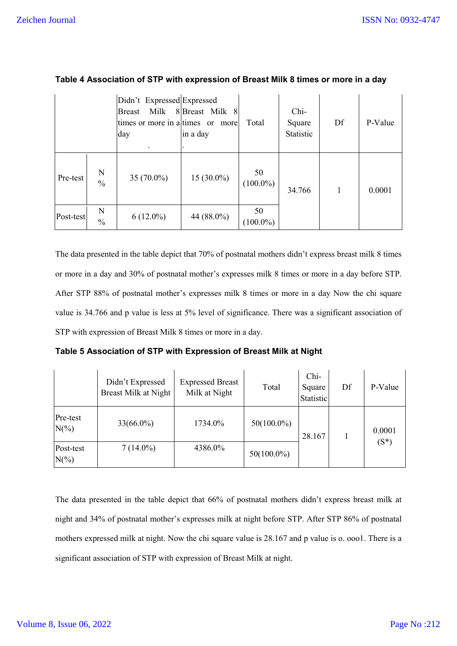|           |                    | Didn't Expressed Expressed  |                |                   |           |    |         |
|-----------|--------------------|-----------------------------|----------------|-------------------|-----------|----|---------|
|           |                    | Milk<br><b>Breast</b>       | 8Breast Milk 8 |                   | Chi-      |    |         |
|           |                    | times or more in a times or | more           | Total             | Square    | Df | P-Value |
|           |                    | day                         | in a day       |                   | Statistic |    |         |
|           |                    | $\bullet$                   |                |                   |           |    |         |
| Pre-test  | N<br>$\frac{0}{0}$ | $35(70.0\%)$                | 15 (30.0%)     | 50<br>$(100.0\%)$ | 34.766    |    | 0.0001  |
| Post-test | N<br>$\frac{0}{0}$ | $6(12.0\%)$                 | 44 (88.0%)     | 50<br>$(100.0\%)$ |           |    |         |

| Table 4 Association of STP with expression of Breast Milk 8 times or more in a day |  |
|------------------------------------------------------------------------------------|--|
|                                                                                    |  |

The data presented in the table depict that 70% of postnatal mothers didn't express breast milk 8 times or more in a day and 30% of postnatal mother's expresses milk 8 times or more in a day before STP. After STP 88% of postnatal mother's expresses milk 8 times or more in a day Now the chi square value is 34.766 and p value is less at 5% level of significance. There was a significant association of STP with expression of Breast Milk 8 times or more in a day.

**Table 5 Association of STP with Expression of Breast Milk at Night**

|                      | Didn't Expressed<br>Breast Milk at Night | <b>Expressed Breast</b><br>Milk at Night | Total         | Chi-<br>Square<br>Statistic | Df | P-Value |
|----------------------|------------------------------------------|------------------------------------------|---------------|-----------------------------|----|---------|
| Pre-test<br>$N(\%)$  | $33(66.0\%)$                             | 1734.0%                                  | $50(100.0\%)$ | 28.167                      |    | 0.0001  |
| Post-test<br>$N(\%)$ | $7(14.0\%)$                              | 4386.0%                                  | $50(100.0\%)$ |                             |    | $(S^*)$ |

The data presented in the table depict that 66% of postnatal mothers didn't express breast milk at night and 34% of postnatal mother's expresses milk at night before STP. After STP 86% of postnatal mothers expressed milk at night. Now the chi square value is 28.167 and p value is o. ooo1. There is a significant association of STP with expression of Breast Milk at night.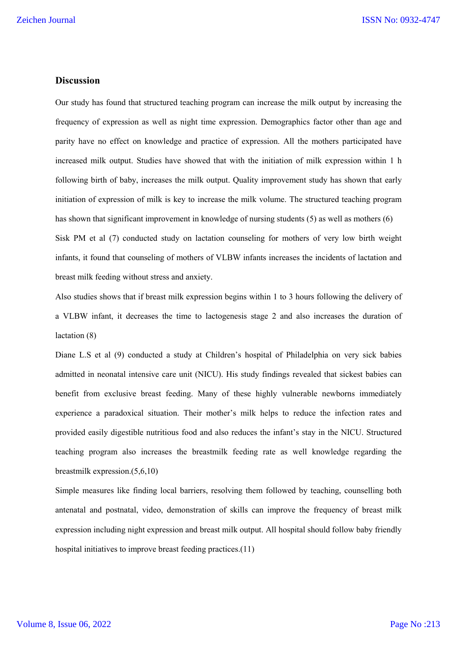### **Discussion**

Our study has found that structured teaching program can increase the milk output by increasing the frequency of expression as well as night time expression. Demographics factor other than age and parity have no effect on knowledge and practice of expression. All the mothers participated have increased milk output. Studies have showed that with the initiation of milk expression within 1 h following birth of baby, increases the milk output. Quality improvement study has shown that early initiation of expression of milk is key to increase the milk volume. The structured teaching program has shown that significant improvement in knowledge of nursing students (5) as well as mothers (6) Sisk PM et al (7) conducted study on lactation counseling for mothers of very low birth weight infants, it found that counseling of mothers of VLBW infants increases the incidents of lactation and breast milk feeding without stress and anxiety.

Also studies shows that if breast milk expression begins within 1 to 3 hours following the delivery of a VLBW infant, it decreases the time to lactogenesis stage 2 and also increases the duration of lactation (8)

Diane L.S et al (9) conducted a study at Children's hospital of Philadelphia on very sick babies admitted in neonatal intensive care unit (NICU). His study findings revealed that sickest babies can benefit from exclusive breast feeding. Many of these highly vulnerable newborns immediately experience a paradoxical situation. Their mother's milk helps to reduce the infection rates and provided easily digestible nutritious food and also reduces the infant's stay in the NICU. Structured teaching program also increases the breastmilk feeding rate as well knowledge regarding the breastmilk expression.(5,6,10)

Simple measures like finding local barriers, resolving them followed by teaching, counselling both antenatal and postnatal, video, demonstration of skills can improve the frequency of breast milk expression including night expression and breast milk output. All hospital should follow baby friendly hospital initiatives to improve breast feeding practices.(11)